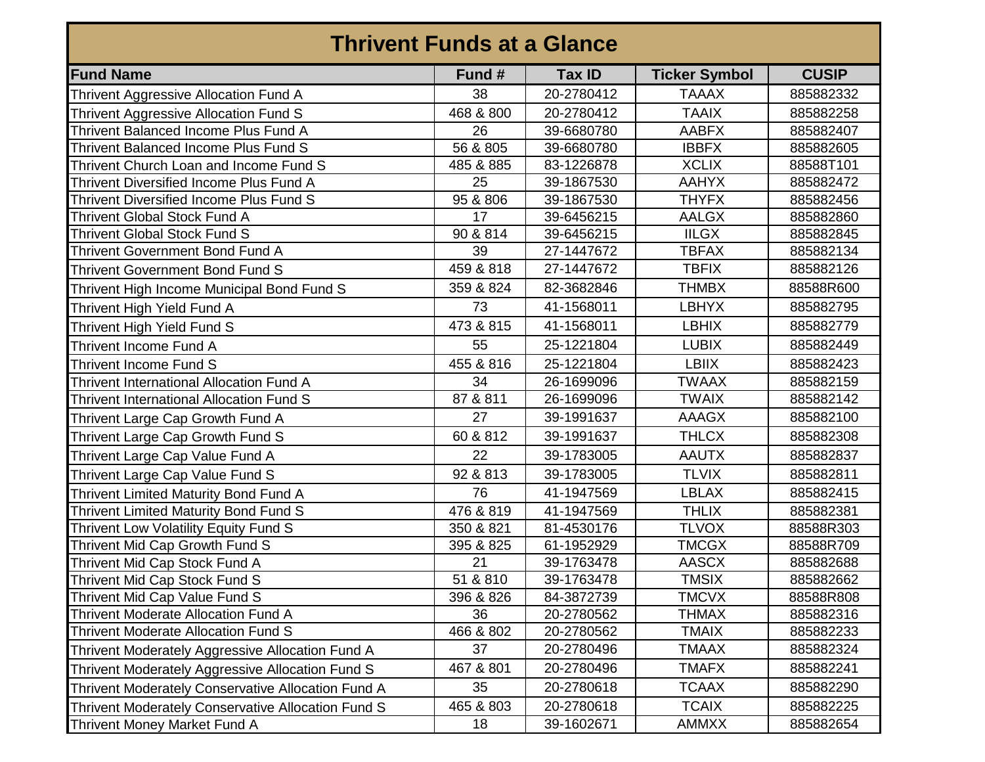| <b>Thrivent Funds at a Glance</b>                  |           |               |                      |              |  |  |
|----------------------------------------------------|-----------|---------------|----------------------|--------------|--|--|
| <b>Fund Name</b>                                   | Fund #    | <b>Tax ID</b> | <b>Ticker Symbol</b> | <b>CUSIP</b> |  |  |
| Thrivent Aggressive Allocation Fund A              | 38        | 20-2780412    | <b>TAAAX</b>         | 885882332    |  |  |
| Thrivent Aggressive Allocation Fund S              | 468 & 800 | 20-2780412    | <b>TAAIX</b>         | 885882258    |  |  |
| Thrivent Balanced Income Plus Fund A               | 26        | 39-6680780    | <b>AABFX</b>         | 885882407    |  |  |
| Thrivent Balanced Income Plus Fund S               | 56 & 805  | 39-6680780    | <b>IBBFX</b>         | 885882605    |  |  |
| Thrivent Church Loan and Income Fund S             | 485 & 885 | 83-1226878    | <b>XCLIX</b>         | 88588T101    |  |  |
| Thrivent Diversified Income Plus Fund A            | 25        | 39-1867530    | <b>AAHYX</b>         | 885882472    |  |  |
| Thrivent Diversified Income Plus Fund S            | 95 & 806  | 39-1867530    | <b>THYFX</b>         | 885882456    |  |  |
| <b>Thrivent Global Stock Fund A</b>                | 17        | 39-6456215    | <b>AALGX</b>         | 885882860    |  |  |
| Thrivent Global Stock Fund S                       | 90 & 814  | 39-6456215    | <b>IILGX</b>         | 885882845    |  |  |
| <b>Thrivent Government Bond Fund A</b>             | 39        | 27-1447672    | <b>TBFAX</b>         | 885882134    |  |  |
| Thrivent Government Bond Fund S                    | 459 & 818 | 27-1447672    | <b>TBFIX</b>         | 885882126    |  |  |
| Thrivent High Income Municipal Bond Fund S         | 359 & 824 | 82-3682846    | <b>THMBX</b>         | 88588R600    |  |  |
| Thrivent High Yield Fund A                         | 73        | 41-1568011    | <b>LBHYX</b>         | 885882795    |  |  |
| Thrivent High Yield Fund S                         | 473 & 815 | 41-1568011    | <b>LBHIX</b>         | 885882779    |  |  |
| Thrivent Income Fund A                             | 55        | 25-1221804    | <b>LUBIX</b>         | 885882449    |  |  |
| Thrivent Income Fund S                             | 455 & 816 | 25-1221804    | <b>LBIIX</b>         | 885882423    |  |  |
| Thrivent International Allocation Fund A           | 34        | 26-1699096    | <b>TWAAX</b>         | 885882159    |  |  |
| Thrivent International Allocation Fund S           | 87 & 811  | 26-1699096    | <b>TWAIX</b>         | 885882142    |  |  |
| Thrivent Large Cap Growth Fund A                   | 27        | 39-1991637    | <b>AAAGX</b>         | 885882100    |  |  |
| Thrivent Large Cap Growth Fund S                   | 60 & 812  | 39-1991637    | <b>THLCX</b>         | 885882308    |  |  |
| Thrivent Large Cap Value Fund A                    | 22        | 39-1783005    | <b>AAUTX</b>         | 885882837    |  |  |
| Thrivent Large Cap Value Fund S                    | 92 & 813  | 39-1783005    | <b>TLVIX</b>         | 885882811    |  |  |
| Thrivent Limited Maturity Bond Fund A              | 76        | 41-1947569    | <b>LBLAX</b>         | 885882415    |  |  |
| Thrivent Limited Maturity Bond Fund S              | 476 & 819 | 41-1947569    | <b>THLIX</b>         | 885882381    |  |  |
| Thrivent Low Volatility Equity Fund S              | 350 & 821 | 81-4530176    | <b>TLVOX</b>         | 88588R303    |  |  |
| Thrivent Mid Cap Growth Fund S                     | 395 & 825 | 61-1952929    | <b>TMCGX</b>         | 88588R709    |  |  |
| Thrivent Mid Cap Stock Fund A                      | 21        | 39-1763478    | <b>AASCX</b>         | 885882688    |  |  |
| Thrivent Mid Cap Stock Fund S                      | 51 & 810  | 39-1763478    | <b>TMSIX</b>         | 885882662    |  |  |
| Thrivent Mid Cap Value Fund S                      | 396 & 826 | 84-3872739    | <b>TMCVX</b>         | 88588R808    |  |  |
| Thrivent Moderate Allocation Fund A                | 36        | 20-2780562    | <b>THMAX</b>         | 885882316    |  |  |
| <b>Thrivent Moderate Allocation Fund S</b>         | 466 & 802 | 20-2780562    | <b>TMAIX</b>         | 885882233    |  |  |
| Thrivent Moderately Aggressive Allocation Fund A   | 37        | 20-2780496    | <b>TMAAX</b>         | 885882324    |  |  |
| Thrivent Moderately Aggressive Allocation Fund S   | 467 & 801 | 20-2780496    | <b>TMAFX</b>         | 885882241    |  |  |
| Thrivent Moderately Conservative Allocation Fund A | 35        | 20-2780618    | <b>TCAAX</b>         | 885882290    |  |  |
| Thrivent Moderately Conservative Allocation Fund S | 465 & 803 | 20-2780618    | <b>TCAIX</b>         | 885882225    |  |  |
| <b>Thrivent Money Market Fund A</b>                | 18        | 39-1602671    | <b>AMMXX</b>         | 885882654    |  |  |